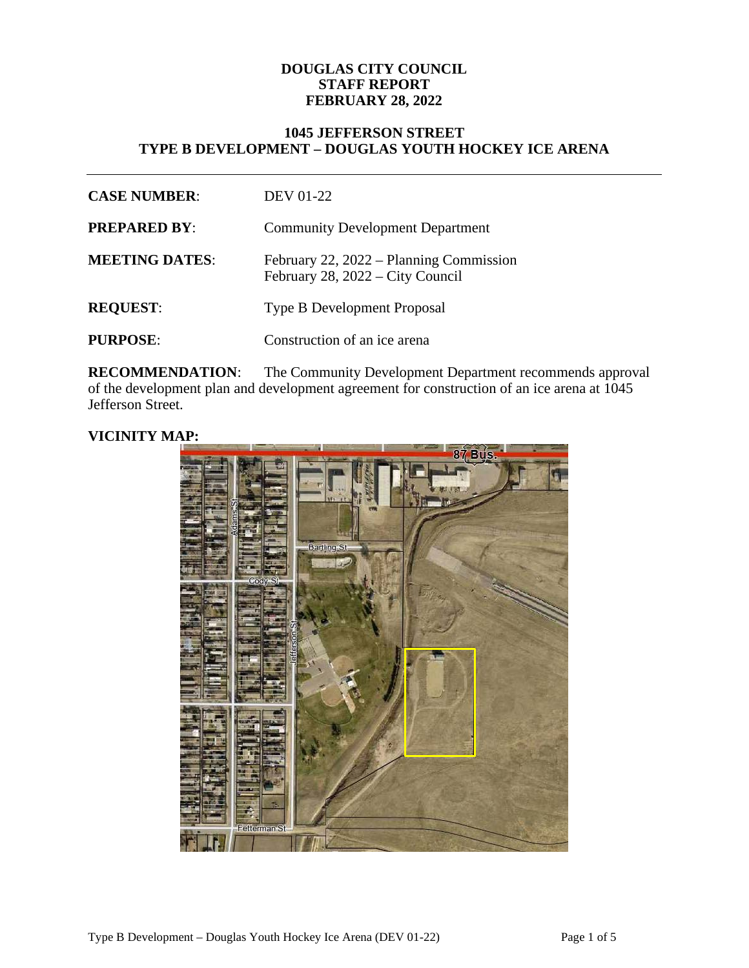#### **DOUGLAS CITY COUNCIL STAFF REPORT FEBRUARY 28, 2022**

## **1045 JEFFERSON STREET TYPE B DEVELOPMENT – DOUGLAS YOUTH HOCKEY ICE ARENA**

| <b>CASE NUMBER:</b>   | <b>DEV 01-22</b>                                                            |
|-----------------------|-----------------------------------------------------------------------------|
| <b>PREPARED BY:</b>   | <b>Community Development Department</b>                                     |
| <b>MEETING DATES:</b> | February 22, 2022 – Planning Commission<br>February 28, 2022 – City Council |
| <b>REQUEST:</b>       | <b>Type B Development Proposal</b>                                          |
| <b>PURPOSE:</b>       | Construction of an ice arena                                                |

**RECOMMENDATION:** The Community Development Department recommends approval of the development plan and development agreement for construction of an ice arena at 1045 Jefferson Street.

## **VICINITY MAP:**

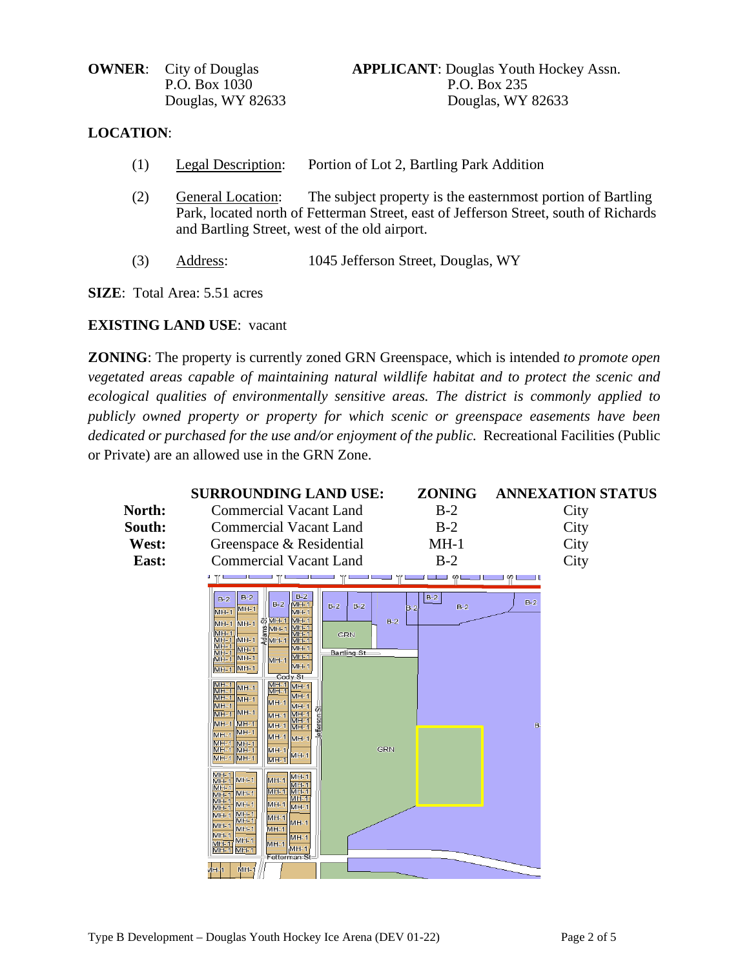## **LOCATION**:

- (1) Legal Description: Portion of Lot 2, Bartling Park Addition
- (2) General Location: The subject property is the easternmost portion of Bartling Park, located north of Fetterman Street, east of Jefferson Street, south of Richards and Bartling Street, west of the old airport.
- (3) Address: 1045 Jefferson Street, Douglas, WY

**SIZE**: Total Area: 5.51 acres

## **EXISTING LAND USE**: vacant

**ZONING**: The property is currently zoned GRN Greenspace, which is intended *to promote open vegetated areas capable of maintaining natural wildlife habitat and to protect the scenic and ecological qualities of environmentally sensitive areas. The district is commonly applied to publicly owned property or property for which scenic or greenspace easements have been dedicated or purchased for the use and/or enjoyment of the public.* Recreational Facilities (Public or Private) are an allowed use in the GRN Zone.

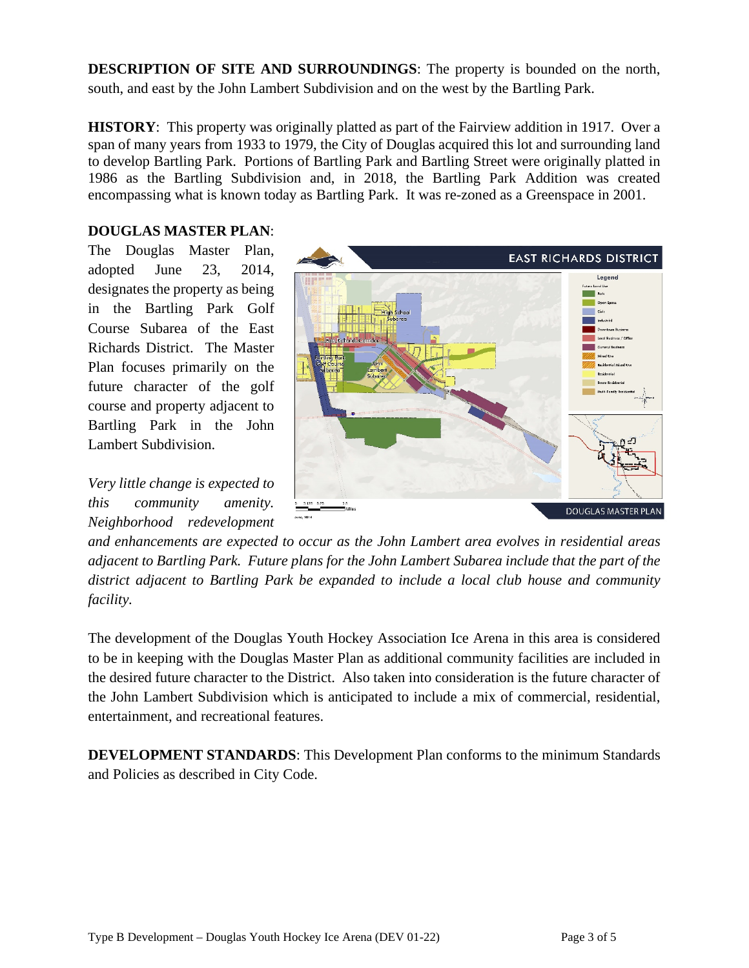**DESCRIPTION OF SITE AND SURROUNDINGS**: The property is bounded on the north, south, and east by the John Lambert Subdivision and on the west by the Bartling Park.

**HISTORY**: This property was originally platted as part of the Fairview addition in 1917. Over a span of many years from 1933 to 1979, the City of Douglas acquired this lot and surrounding land to develop Bartling Park. Portions of Bartling Park and Bartling Street were originally platted in 1986 as the Bartling Subdivision and, in 2018, the Bartling Park Addition was created encompassing what is known today as Bartling Park. It was re-zoned as a Greenspace in 2001.

### **DOUGLAS MASTER PLAN**:

The Douglas Master Plan, adopted June 23, 2014, designates the property as being in the Bartling Park Golf Course Subarea of the East Richards District. The Master Plan focuses primarily on the future character of the golf course and property adjacent to Bartling Park in the John Lambert Subdivision.

*Very little change is expected to this community amenity. Neighborhood redevelopment* 



*and enhancements are expected to occur as the John Lambert area evolves in residential areas adjacent to Bartling Park. Future plans for the John Lambert Subarea include that the part of the district adjacent to Bartling Park be expanded to include a local club house and community facility.*

The development of the Douglas Youth Hockey Association Ice Arena in this area is considered to be in keeping with the Douglas Master Plan as additional community facilities are included in the desired future character to the District. Also taken into consideration is the future character of the John Lambert Subdivision which is anticipated to include a mix of commercial, residential, entertainment, and recreational features.

**DEVELOPMENT STANDARDS**: This Development Plan conforms to the minimum Standards and Policies as described in City Code.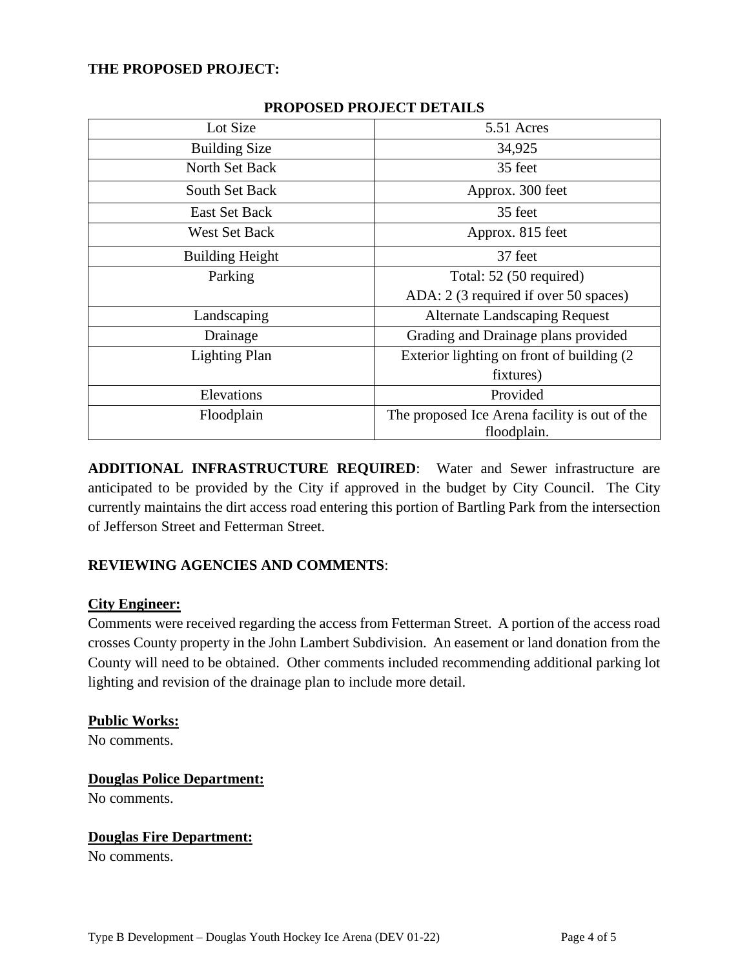## **THE PROPOSED PROJECT:**

| Lot Size               | 5.51 Acres                                                   |  |  |
|------------------------|--------------------------------------------------------------|--|--|
| <b>Building Size</b>   | 34,925                                                       |  |  |
| North Set Back         | 35 feet                                                      |  |  |
| South Set Back         | Approx. 300 feet                                             |  |  |
| East Set Back          | 35 feet                                                      |  |  |
| <b>West Set Back</b>   | Approx. 815 feet                                             |  |  |
| <b>Building Height</b> | 37 feet                                                      |  |  |
| Parking                | Total: 52 (50 required)                                      |  |  |
|                        | ADA: 2 (3 required if over 50 spaces)                        |  |  |
| Landscaping            | <b>Alternate Landscaping Request</b>                         |  |  |
| Drainage               | Grading and Drainage plans provided                          |  |  |
| <b>Lighting Plan</b>   | Exterior lighting on front of building (2)                   |  |  |
|                        | fixtures)                                                    |  |  |
| Elevations             | Provided                                                     |  |  |
| Floodplain             | The proposed Ice Arena facility is out of the<br>floodplain. |  |  |

## **PROPOSED PROJECT DETAILS**

**ADDITIONAL INFRASTRUCTURE REQUIRED**: Water and Sewer infrastructure are anticipated to be provided by the City if approved in the budget by City Council. The City currently maintains the dirt access road entering this portion of Bartling Park from the intersection of Jefferson Street and Fetterman Street.

# **REVIEWING AGENCIES AND COMMENTS**:

#### **City Engineer:**

Comments were received regarding the access from Fetterman Street. A portion of the access road crosses County property in the John Lambert Subdivision. An easement or land donation from the County will need to be obtained. Other comments included recommending additional parking lot lighting and revision of the drainage plan to include more detail.

# **Public Works:**

No comments.

## **Douglas Police Department:** No comments.

# **Douglas Fire Department:**

No comments.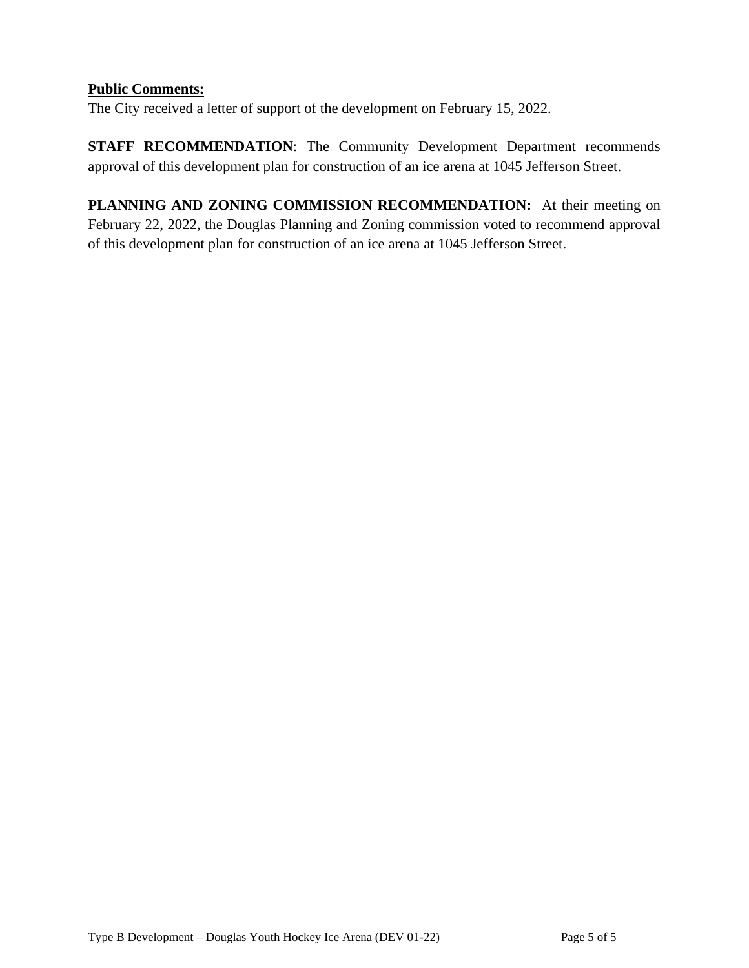# **Public Comments:**

The City received a letter of support of the development on February 15, 2022.

**STAFF RECOMMENDATION**: The Community Development Department recommends approval of this development plan for construction of an ice arena at 1045 Jefferson Street.

**PLANNING AND ZONING COMMISSION RECOMMENDATION:** At their meeting on February 22, 2022, the Douglas Planning and Zoning commission voted to recommend approval of this development plan for construction of an ice arena at 1045 Jefferson Street.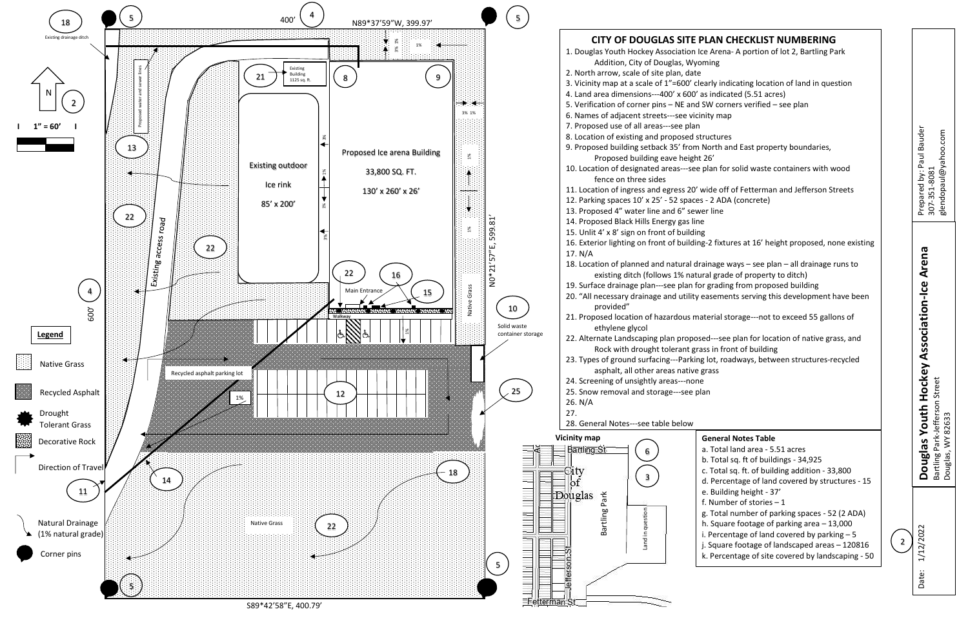| PLAN CHECKLIST NUMBERING<br>ce Arena-A portion of lot 2, Bartling Park<br>oming                                                                                                                                                                                                                                |   |                                                    |
|----------------------------------------------------------------------------------------------------------------------------------------------------------------------------------------------------------------------------------------------------------------------------------------------------------------|---|----------------------------------------------------|
| early indicating location of land in question<br>as indicated (5.51 acres)<br>SW corners verified - see plan<br>inity map                                                                                                                                                                                      |   |                                                    |
| tructures<br>North and East property boundaries,<br>t 26'<br>plan for solid waste containers with wood                                                                                                                                                                                                         |   | Prepared by: Paul Bauder<br>glendopaul@yahoo.com   |
| wide off of Fetterman and Jefferson Streets<br>s - 2 ADA (concrete)<br>er line<br>۱e                                                                                                                                                                                                                           |   | 307-351-8081                                       |
| ١g<br>g-2 fixtures at 16' height proposed, none existing                                                                                                                                                                                                                                                       |   |                                                    |
| rainage ways – see plan – all drainage runs to<br>ural grade of property to ditch)<br>or grading from proposed building<br>easements serving this development have been                                                                                                                                        |   | key Association-Ice Arena                          |
| aterial storage---not to exceed 55 gallons of                                                                                                                                                                                                                                                                  |   |                                                    |
| sed---see plan for location of native grass, and<br>ass in front of building<br>g lot, roadways, between structures-recycled<br>grass<br>e<br>lan                                                                                                                                                              |   | <b>Douglas Youth Hoc</b>                           |
| <b>General Notes Table</b><br>a. Total land area - 5.51 acres<br>b. Total sq. ft of buildings - 34,925<br>c. Total sq. ft. of building addition - 33,800<br>d. Percentage of land covered by structures - 15                                                                                                   |   | Bartling Park-Jefferson Stree<br>Douglas, WY 82633 |
| e. Building height - 37'<br>f. Number of stories $-1$<br>g. Total number of parking spaces - 52 (2 ADA)<br>h. Square footage of parking area $-13,000$<br>i. Percentage of land covered by parking $-5$<br>j. Square footage of landscaped areas - 120816<br>k. Percentage of site covered by landscaping - 50 | 2 | 12/2022                                            |
|                                                                                                                                                                                                                                                                                                                |   | ate:                                               |



S89\*42'58"E, 400.79'